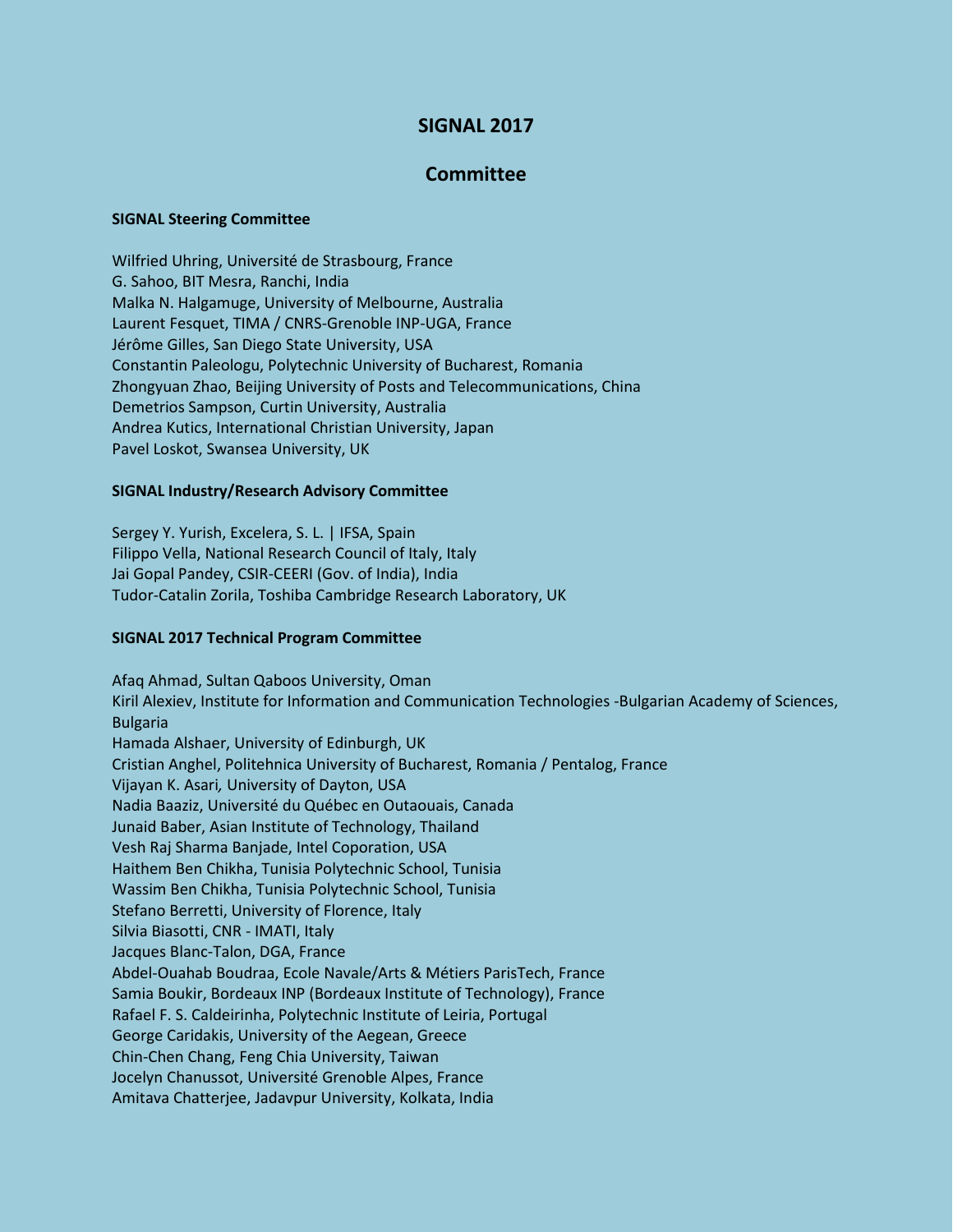# **SIGNAL 2017**

## **Committee**

#### **SIGNAL Steering Committee**

Wilfried Uhring, Université de Strasbourg, France G. Sahoo, BIT Mesra, Ranchi, India Malka N. Halgamuge, University of Melbourne, Australia Laurent Fesquet, TIMA / CNRS-Grenoble INP-UGA, France Jérôme Gilles, San Diego State University, USA Constantin Paleologu, Polytechnic University of Bucharest, Romania Zhongyuan Zhao, Beijing University of Posts and Telecommunications, China Demetrios Sampson, Curtin University, Australia Andrea Kutics, International Christian University, Japan Pavel Loskot, Swansea University, UK

#### **SIGNAL Industry/Research Advisory Committee**

Sergey Y. Yurish, Excelera, S. L. | IFSA, Spain Filippo Vella, National Research Council of Italy, Italy Jai Gopal Pandey, CSIR-CEERI (Gov. of India), India Tudor-Catalin Zorila, Toshiba Cambridge Research Laboratory, UK

### **SIGNAL 2017 Technical Program Committee**

Afaq Ahmad, Sultan Qaboos University, Oman Kiril Alexiev, Institute for Information and Communication Technologies -Bulgarian Academy of Sciences, Bulgaria Hamada Alshaer, University of Edinburgh, UK Cristian Anghel, Politehnica University of Bucharest, Romania / Pentalog, France Vijayan K. Asari*,* University of Dayton, USA Nadia Baaziz, Université du Québec en Outaouais, Canada Junaid Baber, Asian Institute of Technology, Thailand Vesh Raj Sharma Banjade, Intel Coporation, USA Haithem Ben Chikha, Tunisia Polytechnic School, Tunisia Wassim Ben Chikha, Tunisia Polytechnic School, Tunisia Stefano Berretti, University of Florence, Italy Silvia Biasotti, CNR - IMATI, Italy Jacques Blanc-Talon, DGA, France Abdel-Ouahab Boudraa, Ecole Navale/Arts & Métiers ParisTech, France Samia Boukir, Bordeaux INP (Bordeaux Institute of Technology), France Rafael F. S. Caldeirinha, Polytechnic Institute of Leiria, Portugal George Caridakis, University of the Aegean, Greece Chin-Chen Chang, Feng Chia University, Taiwan Jocelyn Chanussot, Université Grenoble Alpes, France Amitava Chatterjee, Jadavpur University, Kolkata, India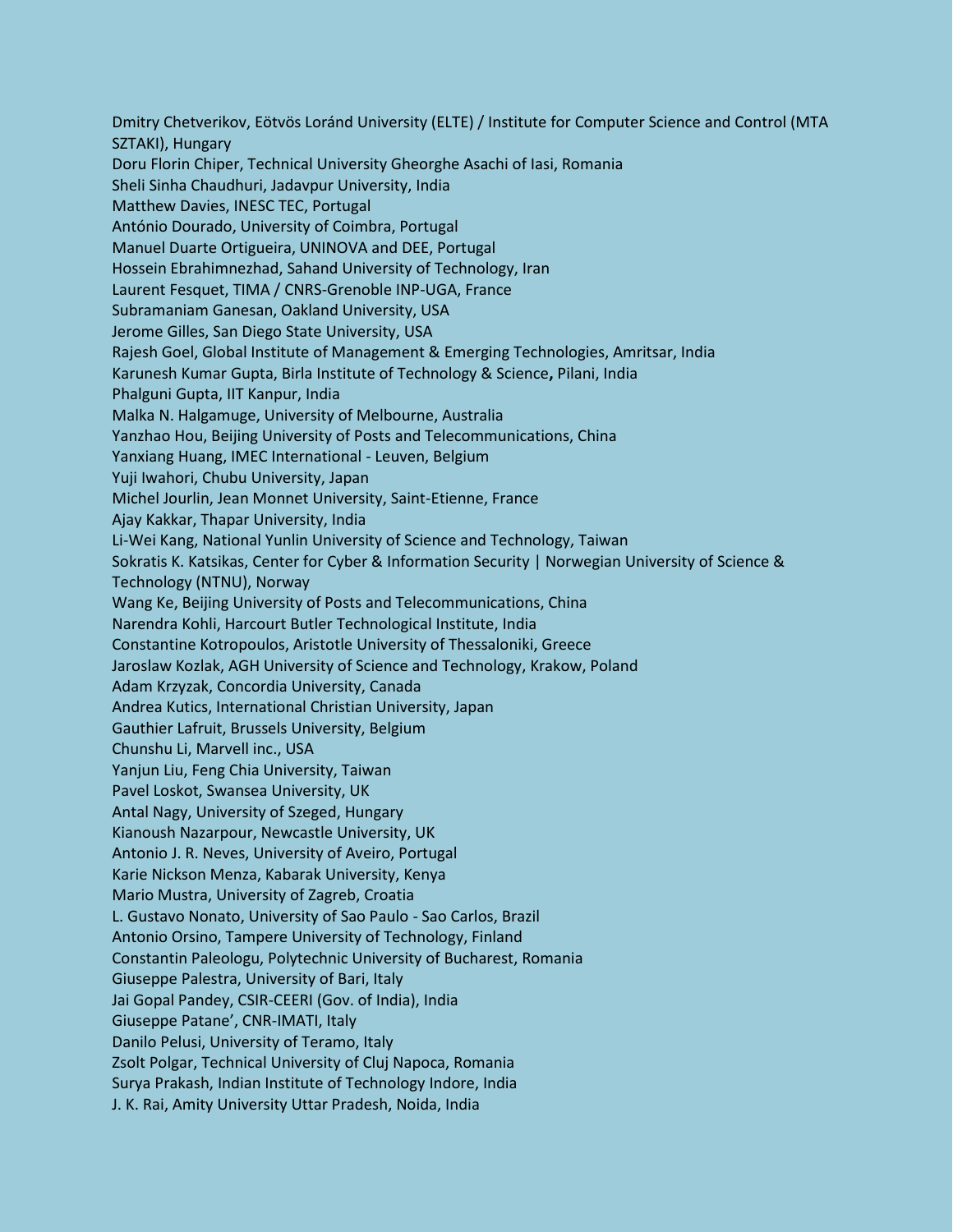Dmitry Chetverikov, Eötvös Loránd University (ELTE) / Institute for Computer Science and Control (MTA SZTAKI), Hungary Doru Florin Chiper, Technical University Gheorghe Asachi of Iasi, Romania Sheli Sinha Chaudhuri, Jadavpur University, India Matthew Davies, INESC TEC, Portugal António Dourado, University of Coimbra, Portugal Manuel Duarte Ortigueira, UNINOVA and DEE, Portugal Hossein Ebrahimnezhad, Sahand University of Technology, Iran Laurent Fesquet, TIMA / CNRS-Grenoble INP-UGA, France Subramaniam Ganesan, Oakland University, USA Jerome Gilles, San Diego State University, USA Rajesh Goel, Global Institute of Management & Emerging Technologies, Amritsar, India Karunesh Kumar Gupta, Birla Institute of Technology & Science**,** Pilani, India Phalguni Gupta, IIT Kanpur, India Malka N. Halgamuge, University of Melbourne, Australia Yanzhao Hou, Beijing University of Posts and Telecommunications, China Yanxiang Huang, IMEC International - Leuven, Belgium Yuji Iwahori, Chubu University, Japan Michel Jourlin, Jean Monnet University, Saint-Etienne, France Ajay Kakkar, Thapar University, India Li-Wei Kang, National Yunlin University of Science and Technology, Taiwan Sokratis K. Katsikas, Center for Cyber & Information Security | Norwegian University of Science & Technology (NTNU), Norway Wang Ke, Beijing University of Posts and Telecommunications, China Narendra Kohli, Harcourt Butler Technological Institute, India Constantine Kotropoulos, Aristotle University of Thessaloniki, Greece Jaroslaw Kozlak, AGH University of Science and Technology, Krakow, Poland Adam Krzyzak, Concordia University, Canada Andrea Kutics, International Christian University, Japan Gauthier Lafruit, Brussels University, Belgium Chunshu Li, Marvell inc., USA Yanjun Liu, Feng Chia University, Taiwan Pavel Loskot, Swansea University, UK Antal Nagy, University of Szeged, Hungary Kianoush Nazarpour, Newcastle University, UK Antonio J. R. Neves, University of Aveiro, Portugal Karie Nickson Menza, Kabarak University, Kenya Mario Mustra, University of Zagreb, Croatia L. Gustavo Nonato, University of Sao Paulo - Sao Carlos, Brazil Antonio Orsino, Tampere University of Technology, Finland Constantin Paleologu, Polytechnic University of Bucharest, Romania Giuseppe Palestra, University of Bari, Italy Jai Gopal Pandey, CSIR-CEERI (Gov. of India), India Giuseppe Patane', CNR-IMATI, Italy Danilo Pelusi, University of Teramo, Italy Zsolt Polgar, Technical University of Cluj Napoca, Romania Surya Prakash, Indian Institute of Technology Indore, India J. K. Rai, Amity University Uttar Pradesh, Noida, India